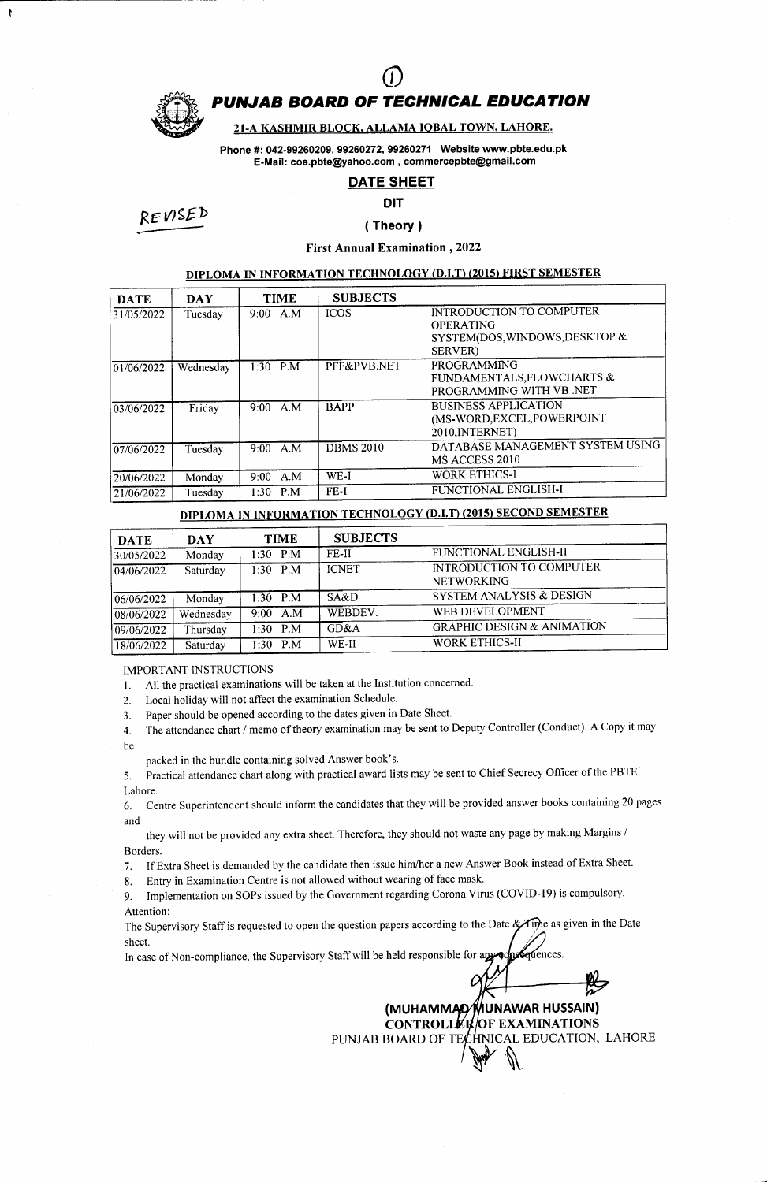

 $\ddot{\mathbf{t}}$ 

# PUNJAB BOARD OF TECHNICAL EDUCATION  $\overline{O}$

### 21-A KASHMIR BLOCK, ALLAMA IOBAL TOWN, LAHORE.

Phone #: 042-99260209, 99260272, 99260271 Website www.pbte.edu.pk E-Mail: coe.pbte@yahoo.com, commercepbte@gmail.com

### DATE SHEET

### DIT

RE WgEb

## ( Theory )

First Annual Examination ,2022

### DIPLOMA IN INFORMATION TECHNOLOGY (D.I.T) (2015) FIRST SEMESTER

| <b>DATE</b> | <b>DAY</b> | <b>TIME</b>        | <b>SUBJECTS</b>  |                                                                                                   |
|-------------|------------|--------------------|------------------|---------------------------------------------------------------------------------------------------|
| 31/05/2022  | Tuesday    | $9:00 \text{ A.M}$ | <b>ICOS</b>      | INTRODUCTION TO COMPUTER<br><b>OPERATING</b><br>SYSTEM(DOS, WINDOWS, DESKTOP &<br><b>SERVER</b> ) |
| 01/06/2022  | Wednesday  | $1:30$ P.M         | PFF&PVB.NET      | <b>PROGRAMMING</b><br>FUNDAMENTALS, FLOWCHARTS &<br>PROGRAMMING WITH VB .NET                      |
| 03/06/2022  | Friday     | 9:00 A.M           | <b>BAPP</b>      | <b>BUSINESS APPLICATION</b><br>(MS-WORD, EXCEL, POWERPOINT<br>2010, INTERNET)                     |
| 07/06/2022  | Tuesday    | A.M<br>$9:00^{-}$  | <b>DBMS 2010</b> | DATABASE MANAGEMENT SYSTEM USING<br>MS ACCESS 2010                                                |
| 20/06/2022  | Monday     | A.M<br>$9:00^{-7}$ | WE-I             | <b>WORK ETHICS-I</b>                                                                              |
| 21/06/2022  | Tuesday    | P.M<br>1:30        | FE-I             | FUNCTIONAL ENGLISH-I                                                                              |

### DIPLOMA IN INFORMATION TECHNOLOGY (D.I.T) (2015) SECOND SEMESTER

| <b>DATE</b>         | DAY       | <b>TIME</b>       | <b>SUBJECTS</b> |                                               |
|---------------------|-----------|-------------------|-----------------|-----------------------------------------------|
| 30/05/2022          | Monday    | $1:30$ P.M        | FE-II           | FUNCTIONAL ENGLISH-II                         |
| $\sqrt{04/06/2022}$ | Saturday  | $1:30$ P.M        | <b>ICNET</b>    | INTRODUCTION TO COMPUTER<br><b>NETWORKING</b> |
| 06/06/2022          | Monday    | $1:30$ P.M        | SA&D            | SYSTEM ANALYSIS & DESIGN                      |
| 08/06/2022          | Wednesday | A.M<br>$9:00^{-}$ | WEBDEV.         | WEB DEVELOPMENT                               |
| 09/06/2022          | Thursday  | $1:30$ P.M        | GD&A            | <b>GRAPHIC DESIGN &amp; ANIMATION</b>         |
| 18/06/2022          | Saturday  | 1:30 $P.M$        | WE-II           | <b>WORK ETHICS-II</b>                         |

IMPORTANT INSTRUCTIONS

1. All the practical examinations will be taken at the Institution concerned.

2. Local holiday will not affect the examination Schedule.

3. Paper should be opened according to the dates given in Date Sheet.

4. The attendance chart / memo of theory examination may be sent to Deputy Controller (Conduct). A Copy it may be

packed in the bundle containing solved Answer book's.

5. Practical attendance chart along with practical award lists may be sent to Chief Secrecy Officer of the PBTE Lahore.

6. Centre Superintendent should inform the candidates that they will be provided answer books containing 20 pages and

they will not be provided any extra sheet. Therefore, they should not waste any page by making Margins / Borders.

7. If Extra Sheet is demanded by the candidate then issue him/her a new Answer Book instead of Extra Sheet.

8. Entry in Examination Centre is not allowed without wearing of face mask.

9. Implementation on SOPs issued by the Government regarding Corona Virus (COVID-19) is compulsory. Attention:

The Supervisory Staff is requested to open the question papers according to the Date & Tipe as given in the Date sheet.

In case of Non-compliance, the Supervisory Staff will be held responsible for apyoon Centences.

> (MUHAMMAD⁄MUNAWAR HUSSAIN) EXAMINATION**s** PUNJAB BOARD OF TE $\cancel{t}$ HNICAL EDUCATION, LAHORE  $\mathbb{R}$ .  $\mathbb{U}$

0